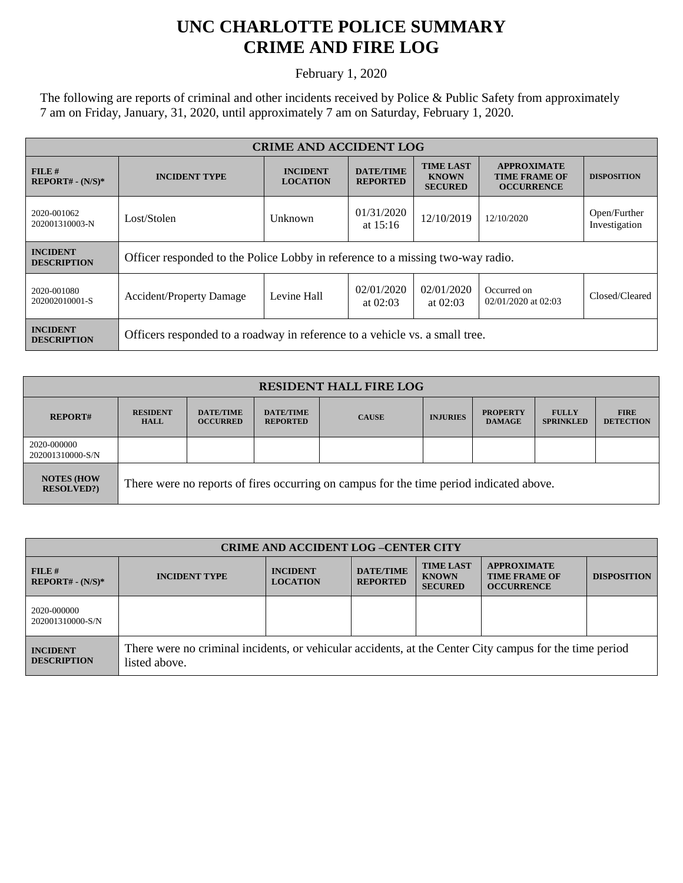## **UNC CHARLOTTE POLICE SUMMARY CRIME AND FIRE LOG**

February 1, 2020

The following are reports of criminal and other incidents received by Police & Public Safety from approximately 7 am on Friday, January, 31, 2020, until approximately 7 am on Saturday, February 1, 2020.

| <b>CRIME AND ACCIDENT LOG</b>         |                                                                                |                                    |                                     |                                                    |                                                                 |                               |  |
|---------------------------------------|--------------------------------------------------------------------------------|------------------------------------|-------------------------------------|----------------------------------------------------|-----------------------------------------------------------------|-------------------------------|--|
| FILE#<br>$REPORT# - (N/S)*$           | <b>INCIDENT TYPE</b>                                                           | <b>INCIDENT</b><br><b>LOCATION</b> | <b>DATE/TIME</b><br><b>REPORTED</b> | <b>TIME LAST</b><br><b>KNOWN</b><br><b>SECURED</b> | <b>APPROXIMATE</b><br><b>TIME FRAME OF</b><br><b>OCCURRENCE</b> | <b>DISPOSITION</b>            |  |
| 2020-001062<br>202001310003-N         | Lost/Stolen                                                                    | Unknown                            | 01/31/2020<br>at $15:16$            | 12/10/2019                                         | 12/10/2020                                                      | Open/Further<br>Investigation |  |
| <b>INCIDENT</b><br><b>DESCRIPTION</b> | Officer responded to the Police Lobby in reference to a missing two-way radio. |                                    |                                     |                                                    |                                                                 |                               |  |
| 2020-001080<br>202002010001-S         | <b>Accident/Property Damage</b>                                                | Levine Hall                        | 02/01/2020<br>at $02:03$            | 02/01/2020<br>at $02:03$                           | Occurred on<br>02/01/2020 at 02:03                              | Closed/Cleared                |  |
| <b>INCIDENT</b><br><b>DESCRIPTION</b> | Officers responded to a roadway in reference to a vehicle vs. a small tree.    |                                    |                                     |                                                    |                                                                 |                               |  |

| <b>RESIDENT HALL FIRE LOG</b>         |                                                                                         |                                     |                                     |              |                 |                                  |                                  |                                 |
|---------------------------------------|-----------------------------------------------------------------------------------------|-------------------------------------|-------------------------------------|--------------|-----------------|----------------------------------|----------------------------------|---------------------------------|
| <b>REPORT#</b>                        | <b>RESIDENT</b><br><b>HALL</b>                                                          | <b>DATE/TIME</b><br><b>OCCURRED</b> | <b>DATE/TIME</b><br><b>REPORTED</b> | <b>CAUSE</b> | <b>INJURIES</b> | <b>PROPERTY</b><br><b>DAMAGE</b> | <b>FULLY</b><br><b>SPRINKLED</b> | <b>FIRE</b><br><b>DETECTION</b> |
| 2020-000000<br>202001310000-S/N       |                                                                                         |                                     |                                     |              |                 |                                  |                                  |                                 |
| <b>NOTES (HOW</b><br><b>RESOLVED?</b> | There were no reports of fires occurring on campus for the time period indicated above. |                                     |                                     |              |                 |                                  |                                  |                                 |

| <b>CRIME AND ACCIDENT LOG -CENTER CITY</b> |                                                                                                                          |                                    |                                     |                                                    |                                                                 |                    |
|--------------------------------------------|--------------------------------------------------------------------------------------------------------------------------|------------------------------------|-------------------------------------|----------------------------------------------------|-----------------------------------------------------------------|--------------------|
| FILE H<br>$REPORT# - (N/S)*$               | <b>INCIDENT TYPE</b>                                                                                                     | <b>INCIDENT</b><br><b>LOCATION</b> | <b>DATE/TIME</b><br><b>REPORTED</b> | <b>TIME LAST</b><br><b>KNOWN</b><br><b>SECURED</b> | <b>APPROXIMATE</b><br><b>TIME FRAME OF</b><br><b>OCCURRENCE</b> | <b>DISPOSITION</b> |
| 2020-000000<br>202001310000-S/N            |                                                                                                                          |                                    |                                     |                                                    |                                                                 |                    |
| <b>INCIDENT</b><br><b>DESCRIPTION</b>      | There were no criminal incidents, or vehicular accidents, at the Center City campus for the time period<br>listed above. |                                    |                                     |                                                    |                                                                 |                    |